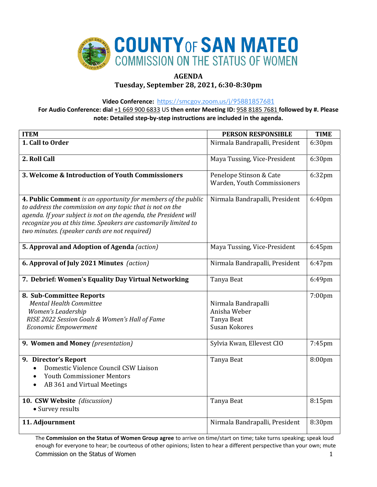

# **AGENDA**

**Tuesday, September 28, 2021, 6:30-8:30pm**

**Video Conference:** <https://smcgov.zoom.us/j/95881857681>

**For Audio Conference: dial** +1 669 900 6833 US **then enter Meeting ID:** 958 8185 7681 **followed by #. Please note: Detailed step-by-step instructions are included in the agenda.**

| <b>ITEM</b>                                                                                                                                                                                                                                                                                                        | <b>PERSON RESPONSIBLE</b>                                                 | <b>TIME</b> |
|--------------------------------------------------------------------------------------------------------------------------------------------------------------------------------------------------------------------------------------------------------------------------------------------------------------------|---------------------------------------------------------------------------|-------------|
| 1. Call to Order                                                                                                                                                                                                                                                                                                   | Nirmala Bandrapalli, President                                            | 6:30pm      |
| 2. Roll Call                                                                                                                                                                                                                                                                                                       | Maya Tussing, Vice-President                                              | 6:30pm      |
| 3. Welcome & Introduction of Youth Commissioners                                                                                                                                                                                                                                                                   | Penelope Stinson & Cate<br>Warden, Youth Commissioners                    | 6:32pm      |
| 4. Public Comment is an opportunity for members of the public<br>to address the commission on any topic that is not on the<br>agenda. If your subject is not on the agenda, the President will<br>recognize you at this time. Speakers are customarily limited to<br>two minutes. (speaker cards are not required) | Nirmala Bandrapalli, President                                            | 6:40pm      |
| 5. Approval and Adoption of Agenda (action)                                                                                                                                                                                                                                                                        | Maya Tussing, Vice-President                                              | 6:45pm      |
| 6. Approval of July 2021 Minutes (action)                                                                                                                                                                                                                                                                          | Nirmala Bandrapalli, President                                            | 6:47pm      |
| 7. Debrief: Women's Equality Day Virtual Networking                                                                                                                                                                                                                                                                | Tanya Beat                                                                | 6:49pm      |
| 8. Sub-Committee Reports<br><b>Mental Health Committee</b><br>Women's Leadership<br>RISE 2022 Session Goals & Women's Hall of Fame<br><b>Economic Empowerment</b>                                                                                                                                                  | Nirmala Bandrapalli<br>Anisha Weber<br>Tanya Beat<br><b>Susan Kokores</b> | 7:00pm      |
| 9. Women and Money (presentation)                                                                                                                                                                                                                                                                                  | Sylvia Kwan, Ellevest CIO                                                 | 7:45pm      |
| 9. Director's Report<br>Domestic Violence Council CSW Liaison<br><b>Youth Commissioner Mentors</b><br>AB 361 and Virtual Meetings                                                                                                                                                                                  | Tanya Beat                                                                | 8:00pm      |
| 10. CSW Website (discussion)<br>• Survey results                                                                                                                                                                                                                                                                   | Tanya Beat                                                                | 8:15pm      |
| 11. Adjournment                                                                                                                                                                                                                                                                                                    | Nirmala Bandrapalli, President                                            | 8:30pm      |

Commission on the Status of Women 1 and 200 minutes of the Status of Women 1 and 200 minutes of the Status of Women 1 and 200 minutes of the Status of Women 1 and 200 minutes of the Status of Women 1 and 200 minutes of the The **Commission on the Status of Women Group agree** to arrive on time/start on time; take turns speaking; speak loud enough for everyone to hear; be courteous of other opinions; listen to hear a different perspective than your own; mute